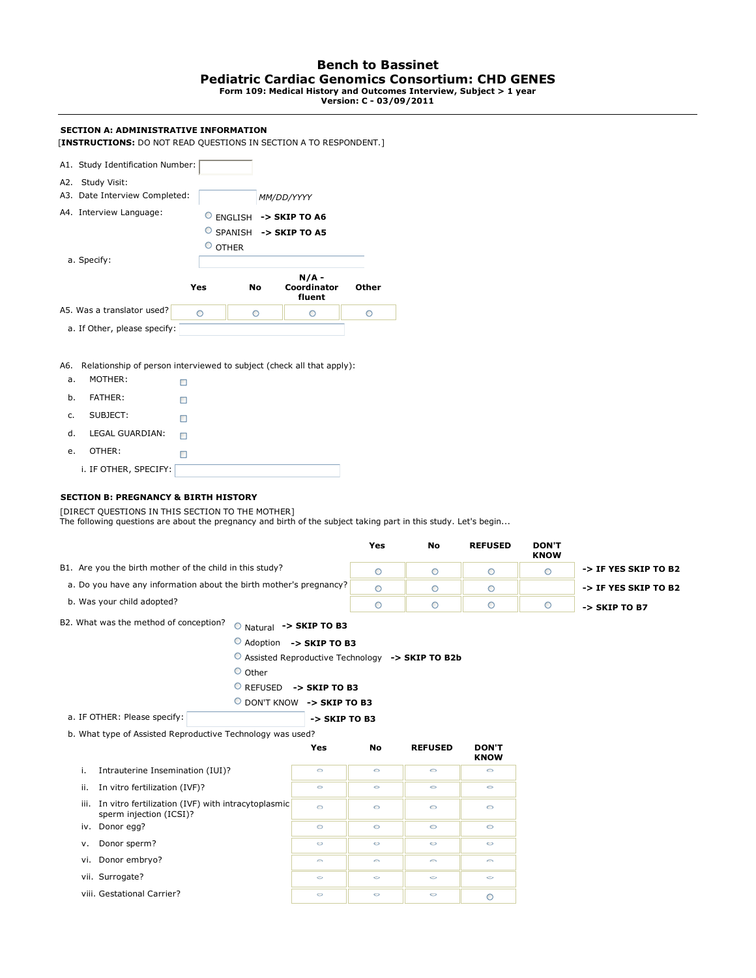#### **Bench to Bassinet Pediatric Cardiac Genomics Consortium: CHD GENES Form 109: Medical History and Outcomes Interview, Subject > 1 year**

**Version: C - 03/09/2011**

#### **SECTION A: ADMINISTRATIVE INFORMATION** [**INSTRUCTIONS:** DO NOT READ QUESTIONS IN SECTION A TO RESPONDENT.] A1. Study Identification Number: A2. Study Visit: A3. Date Interview Completed: *MM/DD/YYYY* A4. Interview Language: **-> SKIP TO A6** SPANISH **-> SKIP TO A5**  $^{\circ}$  OTHER a. Specify: **N/A - Coordinator Other Yes No fluent** A5. Was a translator used?  $\circ$  $\circ$  $\circ$  $\circ$  a. If Other, please specify: A6. Relationship of person interviewed to subject (check all that apply): a. MOTHER:  $\Box$

 b. FATHER:  $\Box$  c. SUBJECT:  $\Box$  d. LEGAL GUARDIAN:  $\Box$  e. OTHER: i. IF OTHER, SPECIFY:

## **SECTION B: PREGNANCY & BIRTH HISTORY**

[DIRECT QUESTIONS IN THIS SECTION TO THE MOTHER]

The following questions are about the pregnancy and birth of the subject taking part in this study. Let's begin...

|                                                                    | Yes | No | <b>REFUSED</b> | <b>DON'T</b><br><b>KNOW</b> |                          |
|--------------------------------------------------------------------|-----|----|----------------|-----------------------------|--------------------------|
| B1. Are you the birth mother of the child in this study?           |     |    |                |                             | -> IF YES SKIP TO B2     |
| a. Do you have any information about the birth mother's pregnancy? |     |    |                |                             | -> IF YES SKIP TO B2     |
| b. Was your child adopted?                                         |     |    |                |                             | $\rightarrow$ SKIP TO B7 |

B2. What was the method of conception?  $\circ$  Natural -> SKIP TO B3

Adoption **-> SKIP TO B3**

Assisted Reproductive Technology **-> SKIP TO B2b**

- $O$  Other
	- REFUSED **-> SKIP TO B3**

DON'T KNOW **-> SKIP TO B3**

 a. IF OTHER: Please specify: **-> SKIP TO B3**

b. What type of Assisted Reproductive Technology was used?

|                                                                                       | Yes     | No      | <b>REFUSED</b> | <b>DON'T</b><br><b>KNOW</b> |
|---------------------------------------------------------------------------------------|---------|---------|----------------|-----------------------------|
| i.<br>Intrauterine Insemination (IUI)?                                                | $\circ$ | $\circ$ | $\circ$        | $\circ$                     |
| In vitro fertilization (IVF)?<br>ii.                                                  | $\circ$ | $\circ$ | $\circ$        | $\circ$                     |
| In vitro fertilization (IVF) with intracytoplasmic<br>iii.<br>sperm injection (ICSI)? | $\circ$ | $\circ$ | $\circ$        | $\circ$                     |
| iv. Donor egg?                                                                        | $\circ$ | $\circ$ | $\circ$        | $\circ$                     |
| Donor sperm?<br>v.                                                                    | $\circ$ | $\circ$ | $\circ$        | $\circ$                     |
| vi. Donor embryo?                                                                     | $\sim$  | $\sim$  | $\sim$         | $\circ$                     |
| vii. Surrogate?                                                                       | $\circ$ | $\circ$ | $\circ$        | $\circ$                     |
| viii. Gestational Carrier?                                                            | $\circ$ | $\circ$ | $\circ$        | O                           |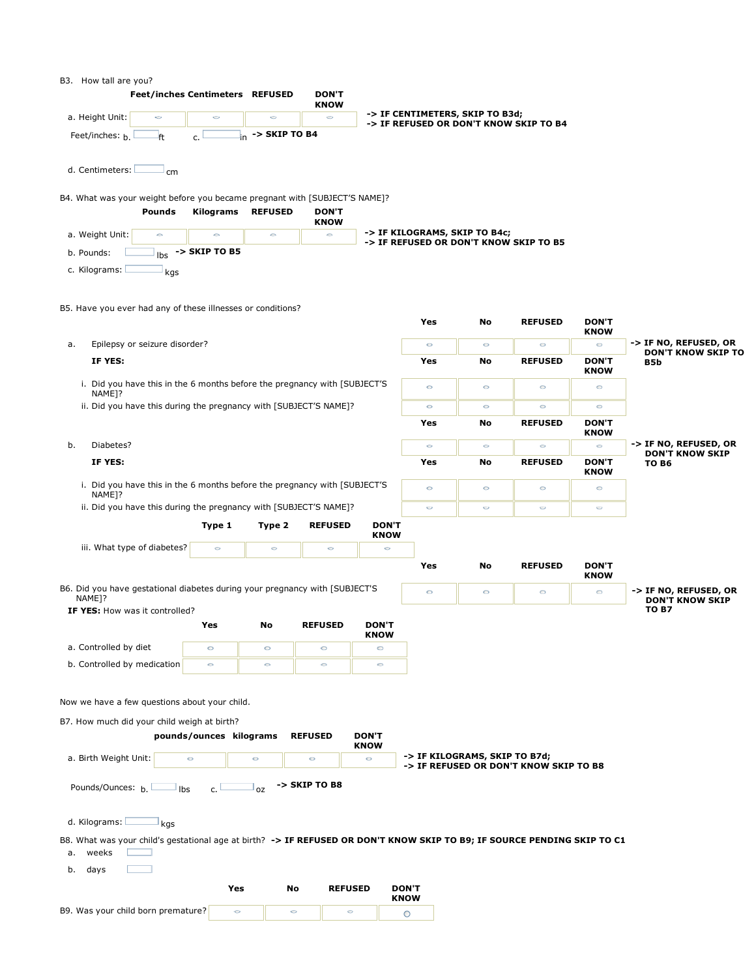| B3. |  | How tall are you? |
|-----|--|-------------------|
|     |  |                   |

| <b>Feet/inches Centimeters REFUSED</b>                                                                                          |                                          |                                           | <b>DON'T</b><br><b>KNOW</b> |                             |                                                                           |               |                                        |                             |                                                 |
|---------------------------------------------------------------------------------------------------------------------------------|------------------------------------------|-------------------------------------------|-----------------------------|-----------------------------|---------------------------------------------------------------------------|---------------|----------------------------------------|-----------------------------|-------------------------------------------------|
| a. Height Unit:<br>$\circ$                                                                                                      | $\circ$                                  | O                                         | $\circ$                     |                             | -> IF CENTIMETERS, SKIP TO B3d;<br>-> IF REFUSED OR DON'T KNOW SKIP TO B4 |               |                                        |                             |                                                 |
| Feet/inches: $h$<br>ft                                                                                                          | c.                                       | $\frac{1}{2}$ <sub>in</sub> -> SKIP TO B4 |                             |                             |                                                                           |               |                                        |                             |                                                 |
| d. Centimeters:<br>cm                                                                                                           |                                          |                                           |                             |                             |                                                                           |               |                                        |                             |                                                 |
| B4. What was your weight before you became pregnant with [SUBJECT'S NAME]?                                                      |                                          |                                           |                             |                             |                                                                           |               |                                        |                             |                                                 |
| Pounds                                                                                                                          | <b>Kilograms</b>                         | <b>REFUSED</b>                            | <b>DON'T</b><br><b>KNOW</b> |                             |                                                                           |               |                                        |                             |                                                 |
| a. Weight Unit:<br>$\circ$                                                                                                      | $\circ$                                  | $\circ$                                   | $\circ$                     |                             | -> IF KILOGRAMS, SKIP TO B4c;<br>-> IF REFUSED OR DON'T KNOW SKIP TO B5   |               |                                        |                             |                                                 |
| b. Pounds:                                                                                                                      | $\vert_{\text{lbs}} \vert$ -> SKIP TO B5 |                                           |                             |                             |                                                                           |               |                                        |                             |                                                 |
| c. Kilograms:<br>kgs                                                                                                            |                                          |                                           |                             |                             |                                                                           |               |                                        |                             |                                                 |
|                                                                                                                                 |                                          |                                           |                             |                             |                                                                           |               |                                        |                             |                                                 |
| B5. Have you ever had any of these illnesses or conditions?                                                                     |                                          |                                           |                             |                             | Yes                                                                       | No            | <b>REFUSED</b>                         | <b>DON'T</b>                |                                                 |
| Epilepsy or seizure disorder?<br>a.                                                                                             |                                          |                                           |                             |                             | $\circ$                                                                   | $\circ$       | $\circ$                                | <b>KNOW</b><br>$\circ$      | -> IF NO, REFUSED, OR                           |
| IF YES:                                                                                                                         |                                          |                                           |                             |                             | Yes                                                                       | No            | <b>REFUSED</b>                         | <b>DON'T</b>                | <b>DON'T KNOW SKIP TO</b><br>B5b                |
| i. Did you have this in the 6 months before the pregnancy with [SUBJECT'S                                                       |                                          |                                           |                             |                             |                                                                           |               |                                        | <b>KNOW</b>                 |                                                 |
| NAME <sub>1?</sub>                                                                                                              |                                          |                                           |                             |                             | $\circ$                                                                   | $\circ$       | $\circ$                                | $\circ$                     |                                                 |
| ii. Did you have this during the pregnancy with [SUBJECT'S NAME]?                                                               |                                          |                                           |                             |                             | $\circ$<br>Yes                                                            | $\circ$<br>No | $\circ$<br><b>REFUSED</b>              | $\circ$<br><b>DON'T</b>     |                                                 |
|                                                                                                                                 |                                          |                                           |                             |                             |                                                                           |               |                                        | <b>KNOW</b>                 |                                                 |
| Diabetes?<br>b.<br>IF YES:                                                                                                      |                                          |                                           |                             |                             | $\circ$<br>Yes                                                            | $\circ$<br>No | $\circ$<br><b>REFUSED</b>              | $\circ$<br><b>DON'T</b>     | -> IF NO, REFUSED, OR<br><b>DON'T KNOW SKIP</b> |
|                                                                                                                                 |                                          |                                           |                             |                             |                                                                           |               |                                        | <b>KNOW</b>                 | TO B6                                           |
| i. Did you have this in the 6 months before the pregnancy with [SUBJECT'S<br>NAME <sub>1?</sub>                                 |                                          |                                           |                             |                             | $\circ$                                                                   | $\circ$       | $\circ$                                | $\circ$                     |                                                 |
| ii. Did you have this during the pregnancy with [SUBJECT'S NAME]?                                                               |                                          |                                           |                             |                             | O                                                                         | O             | $\circ$                                | O                           |                                                 |
|                                                                                                                                 | Type 1                                   | Type 2                                    | <b>REFUSED</b>              | <b>DON'T</b><br><b>KNOW</b> |                                                                           |               |                                        |                             |                                                 |
| iii. What type of diabetes?                                                                                                     | $\circ$                                  | $\circ$                                   | $\circ$                     | $\circ$                     |                                                                           |               |                                        |                             |                                                 |
|                                                                                                                                 |                                          |                                           |                             |                             | Yes                                                                       | No            | <b>REFUSED</b>                         | <b>DON'T</b><br><b>KNOW</b> |                                                 |
| B6. Did you have gestational diabetes during your pregnancy with [SUBJECT'S<br>NAME <sub>1?</sub>                               |                                          |                                           |                             |                             | $\circ$                                                                   | $\circ$       | $\circ$                                | $\circ$                     | -> IF NO, REFUSED, OR<br><b>DON'T KNOW SKIP</b> |
| IF YES: How was it controlled?                                                                                                  |                                          |                                           |                             |                             |                                                                           |               |                                        |                             | TO B7                                           |
|                                                                                                                                 | Yes                                      | No                                        | <b>REFUSED</b>              | <b>DON'T</b><br><b>KNOW</b> |                                                                           |               |                                        |                             |                                                 |
| a. Controlled by diet                                                                                                           |                                          | $\circ$                                   | $\circ$                     | O                           |                                                                           |               |                                        |                             |                                                 |
| b. Controlled by medication                                                                                                     | $\circ$                                  | $\circ$                                   | $\circ$                     | O                           |                                                                           |               |                                        |                             |                                                 |
|                                                                                                                                 |                                          |                                           |                             |                             |                                                                           |               |                                        |                             |                                                 |
| Now we have a few questions about your child.                                                                                   |                                          |                                           |                             |                             |                                                                           |               |                                        |                             |                                                 |
| B7. How much did your child weigh at birth?                                                                                     |                                          |                                           |                             |                             |                                                                           |               |                                        |                             |                                                 |
|                                                                                                                                 | pounds/ounces kilograms                  |                                           | <b>REFUSED</b>              | <b>DON'T</b><br><b>KNOW</b> |                                                                           |               |                                        |                             |                                                 |
| a. Birth Weight Unit:                                                                                                           | $\circ$                                  | $\circ$                                   | $\circ$                     | $\circ$                     | -> IF KILOGRAMS, SKIP TO B7d;                                             |               | -> IF REFUSED OR DON'T KNOW SKIP TO B8 |                             |                                                 |
| Pounds/Ounces: b.<br>Ibs                                                                                                        | c. I                                     | OZ                                        | -> SKIP TO B8               |                             |                                                                           |               |                                        |                             |                                                 |
| d. Kilograms:                                                                                                                   |                                          |                                           |                             |                             |                                                                           |               |                                        |                             |                                                 |
| kgs<br>B8. What was your child's gestational age at birth? -> IF REFUSED OR DON'T KNOW SKIP TO B9; IF SOURCE PENDING SKIP TO C1 |                                          |                                           |                             |                             |                                                                           |               |                                        |                             |                                                 |
| weeks<br>а.<br>days<br>b.                                                                                                       |                                          |                                           |                             |                             |                                                                           |               |                                        |                             |                                                 |
|                                                                                                                                 | Yes                                      | No                                        | <b>REFUSED</b>              |                             | <b>DON'T</b>                                                              |               |                                        |                             |                                                 |
| B9. Was your child born premature?                                                                                              | $\circ$                                  | $\circ$                                   | $\circ$                     |                             | <b>KNOW</b>                                                               |               |                                        |                             |                                                 |
|                                                                                                                                 |                                          |                                           |                             |                             | $\circ$                                                                   |               |                                        |                             |                                                 |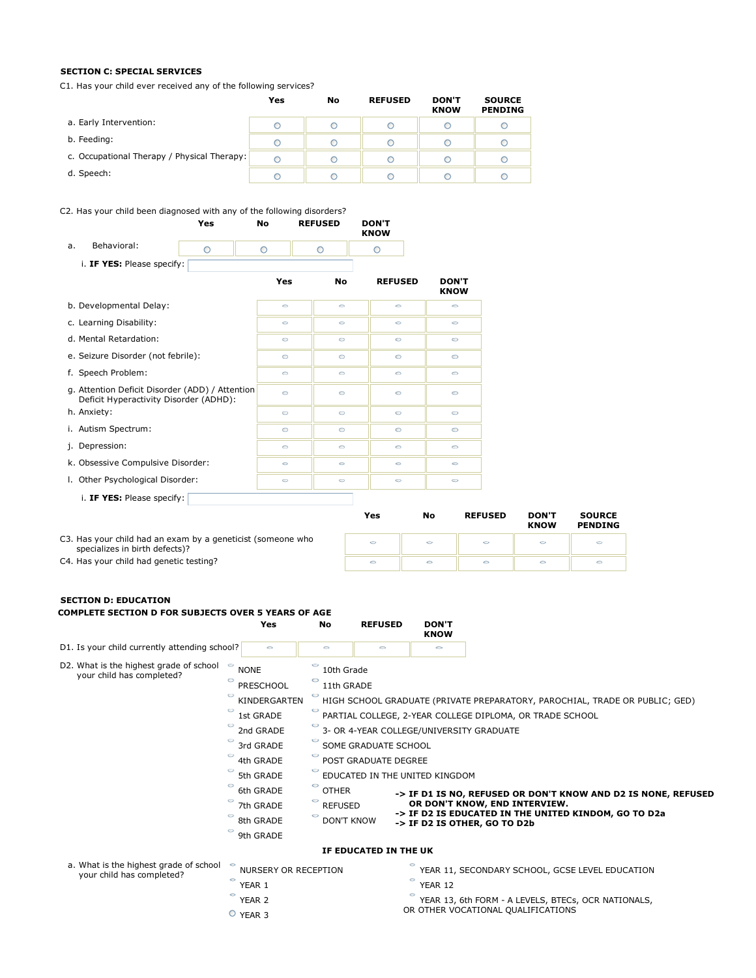### **SECTION C: SPECIAL SERVICES**

C1. Has your child ever received any of the following services?

|                                             | Yes | No | <b>REFUSED</b> | <b>DON'T</b><br><b>KNOW</b> | <b>SOURCE</b><br><b>PENDING</b> |
|---------------------------------------------|-----|----|----------------|-----------------------------|---------------------------------|
| a. Early Intervention:                      |     |    |                |                             |                                 |
| b. Feeding:                                 | C   |    |                |                             |                                 |
| c. Occupational Therapy / Physical Therapy: | С   |    | C              |                             | C                               |
| d. Speech:                                  | C   |    | C              |                             |                                 |

# C2. Has your child been diagnosed with any of the following disorders?

|                                                                                           | Yes     | No      | <b>REFUSED</b> | <b>DON'T</b><br><b>KNOW</b> |                             |              |
|-------------------------------------------------------------------------------------------|---------|---------|----------------|-----------------------------|-----------------------------|--------------|
| Behavioral:<br>a.                                                                         | $\circ$ | $\circ$ | $\circ$        | $\circ$                     |                             |              |
| i. IF YES: Please specify:                                                                |         |         |                |                             |                             |              |
|                                                                                           |         | Yes     | <b>No</b>      | <b>REFUSED</b>              | <b>DON'T</b><br><b>KNOW</b> |              |
| b. Developmental Delay:                                                                   |         | $\circ$ | $\circ$        | $\circ$                     | $\circ$                     |              |
| c. Learning Disability:                                                                   |         | $\circ$ | $\circ$        | $\circ$                     | O                           |              |
| d. Mental Retardation:                                                                    |         | $\circ$ | Ó              | $\circ$                     | O                           |              |
| e. Seizure Disorder (not febrile):                                                        |         | $\circ$ | $\circ$        | $\circ$                     | $\circ$                     |              |
| f. Speech Problem:                                                                        |         | $\circ$ | $\circ$        | $\circ$                     | $\circ$                     |              |
| g. Attention Deficit Disorder (ADD) / Attention<br>Deficit Hyperactivity Disorder (ADHD): |         | $\circ$ | $\circ$        | $\circ$                     | $\circ$                     |              |
| h. Anxiety:                                                                               |         | $\circ$ | $\circ$        | $\circ$                     | $\circ$                     |              |
| i. Autism Spectrum:                                                                       |         | $\circ$ | $\circ$        | $\circ$                     | $\circ$                     |              |
| j. Depression:                                                                            |         | O       | O              | $\circ$                     | O                           |              |
| k. Obsessive Compulsive Disorder:                                                         |         | $\circ$ | $\circ$        | $\circ$                     | $\circ$                     |              |
| I. Other Psychological Disorder:                                                          |         | 0       | 0              | $\circ$                     | 0                           |              |
| i. IF YES: Please specify:                                                                |         |         |                |                             |                             |              |
|                                                                                           |         |         |                | Yes                         | <b>REFUSED</b><br>No        | <b>DON'T</b> |

YEAR 3

|                                                                                               | Yes     | No | <b>REFUSED</b> | <b>DON'T</b><br><b>KNOW</b> | <b>SOURCE</b><br><b>PENDING</b> |
|-----------------------------------------------------------------------------------------------|---------|----|----------------|-----------------------------|---------------------------------|
| C3. Has your child had an exam by a geneticist (someone who<br>specializes in birth defects)? | $\circ$ |    |                |                             |                                 |
| C4. Has your child had genetic testing?                                                       | $\circ$ |    |                |                             |                                 |

#### **SECTION D: EDUCATION**

| COMPLETE SECTION D FOR SUBJECTS OVER 5 YEARS OF AGE                             | Yes                               | No                                                                          | <b>REFUSED</b>        | <b>DON'T</b>                                                                              |                                                 |  |  |  |  |  |
|---------------------------------------------------------------------------------|-----------------------------------|-----------------------------------------------------------------------------|-----------------------|-------------------------------------------------------------------------------------------|-------------------------------------------------|--|--|--|--|--|
|                                                                                 |                                   |                                                                             |                       | <b>KNOW</b>                                                                               |                                                 |  |  |  |  |  |
| D1. Is your child currently attending school?                                   | $\circ$                           | $\circ$                                                                     | $\circ$               | 0                                                                                         |                                                 |  |  |  |  |  |
| D2. What is the highest grade of school<br>$\circ$<br>your child has completed? | <b>NONE</b>                       | o<br>10th Grade                                                             |                       |                                                                                           |                                                 |  |  |  |  |  |
| $\circ$                                                                         | <b>PRESCHOOL</b>                  | 11th GRADE                                                                  |                       |                                                                                           |                                                 |  |  |  |  |  |
| $\circ$                                                                         | KINDERGARTEN                      | HIGH SCHOOL GRADUATE (PRIVATE PREPARATORY, PAROCHIAL, TRADE OR PUBLIC; GED) |                       |                                                                                           |                                                 |  |  |  |  |  |
| O                                                                               | 1st GRADE                         | $\circ$<br>PARTIAL COLLEGE, 2-YEAR COLLEGE DIPLOMA, OR TRADE SCHOOL         |                       |                                                                                           |                                                 |  |  |  |  |  |
| O                                                                               | 2nd GRADE                         | 3- OR 4-YEAR COLLEGE/UNIVERSITY GRADUATE                                    |                       |                                                                                           |                                                 |  |  |  |  |  |
| O                                                                               | 3rd GRADE                         | o<br>SOME GRADUATE SCHOOL                                                   |                       |                                                                                           |                                                 |  |  |  |  |  |
| O                                                                               | 4th GRADE                         | $\circ$<br>POST GRADUATE DEGREE<br>O<br>EDUCATED IN THE UNITED KINGDOM      |                       |                                                                                           |                                                 |  |  |  |  |  |
| O                                                                               | 5th GRADE                         |                                                                             |                       |                                                                                           |                                                 |  |  |  |  |  |
| O                                                                               | 6th GRADE                         | 0<br><b>OTHER</b>                                                           |                       | -> IF D1 IS NO, REFUSED OR DON'T KNOW AND D2 IS NONE, REFUSED                             |                                                 |  |  |  |  |  |
| O                                                                               | 7th GRADE                         | 0<br><b>REFUSED</b>                                                         |                       |                                                                                           | OR DON'T KNOW, END INTERVIEW.                   |  |  |  |  |  |
| O                                                                               | 8th GRADE                         | <b>DON'T KNOW</b>                                                           |                       | -> IF D2 IS EDUCATED IN THE UNITED KINDOM, GO TO D2a<br>-> IF D2 IS OTHER, GO TO D2b      |                                                 |  |  |  |  |  |
| O                                                                               | 9th GRADE                         |                                                                             |                       |                                                                                           |                                                 |  |  |  |  |  |
|                                                                                 |                                   |                                                                             | IF EDUCATED IN THE UK |                                                                                           |                                                 |  |  |  |  |  |
| a. What is the highest grade of school<br>your child has completed?             | <b>NURSERY OR RECEPTION</b>       |                                                                             |                       |                                                                                           | YEAR 11, SECONDARY SCHOOL, GCSE LEVEL EDUCATION |  |  |  |  |  |
|                                                                                 | 0<br>YEAR 1                       |                                                                             |                       | 0<br>YEAR 12                                                                              |                                                 |  |  |  |  |  |
| $\circ$                                                                         | YEAR <sub>2</sub><br>$Q$ vesp $Q$ |                                                                             |                       | YEAR 13, 6th FORM - A LEVELS, BTECs, OCR NATIONALS,<br>OR OTHER VOCATIONAL QUALIFICATIONS |                                                 |  |  |  |  |  |